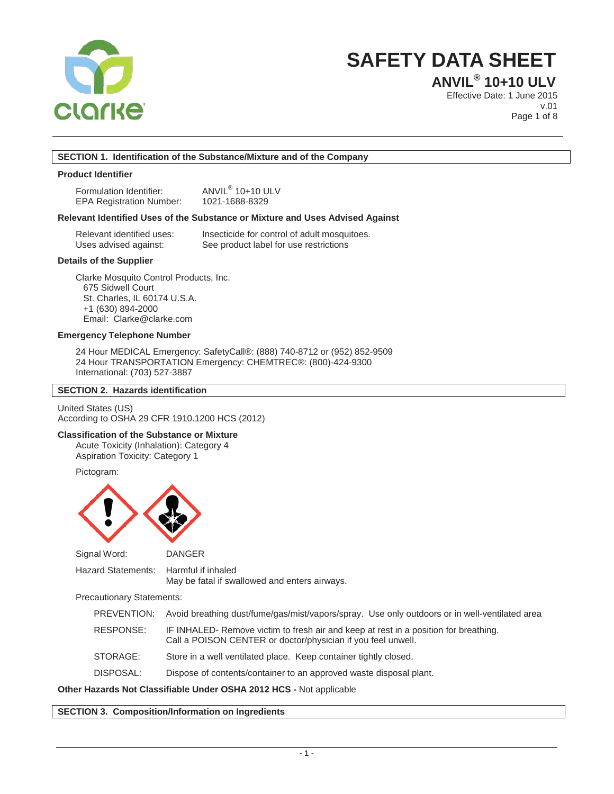

### **ANVIL® 10+10 ULV**

Effective Date: 1 June 2015 v.01 Page 1 of 8

#### **SECTION 1. Identification of the Substance/Mixture and of the Company**

#### **Product Identifier**

Formulation Identifier: <br>EPA Registration Number: 1021-1688-8329 EPA Registration Number:

#### **Relevant Identified Uses of the Substance or Mixture and Uses Advised Against**

| Relevant identified uses: | Insecticide for control of adult mosquitoes. |
|---------------------------|----------------------------------------------|
| Uses advised against:     | See product label for use restrictions       |

#### **Details of the Supplier**

Clarke Mosquito Control Products, Inc. 675 Sidwell Court St. Charles, IL 60174 U.S.A. +1 (630) 894-2000 Email: Clarke@clarke.com

#### **Emergency Telephone Number**

24 Hour MEDICAL Emergency: SafetyCall®: (888) 740-8712 or (952) 852-9509 24 Hour TRANSPORTATION Emergency: CHEMTREC®: (800)-424-9300 International: (703) 527-3887

#### **SECTION 2. Hazards identification**

United States (US) According to OSHA 29 CFR 1910.1200 HCS (2012)

#### **Classification of the Substance or Mixture**

Acute Toxicity (Inhalation): Category 4 Aspiration Toxicity: Category 1

Pictogram:



Signal Word: DANGER

Hazard Statements: Harmful if inhaled May be fatal if swallowed and enters airways.

Precautionary Statements:

| PREVENTION: | Avoid breathing dust/fume/gas/mist/vapors/spray. Use only outdoors or in well-ventilated area                                                        |
|-------------|------------------------------------------------------------------------------------------------------------------------------------------------------|
| RESPONSE:   | IF INHALED- Remove victim to fresh air and keep at rest in a position for breathing.<br>Call a POISON CENTER or doctor/physician if you feel unwell. |
| STORAGE:    | Store in a well ventilated place. Keep container tightly closed.                                                                                     |
| DISPOSAL:   | Dispose of contents/container to an approved waste disposal plant.                                                                                   |

#### **Other Hazards Not Classifiable Under OSHA 2012 HCS -** Not applicable

#### **SECTION 3. Composition/Information on Ingredients**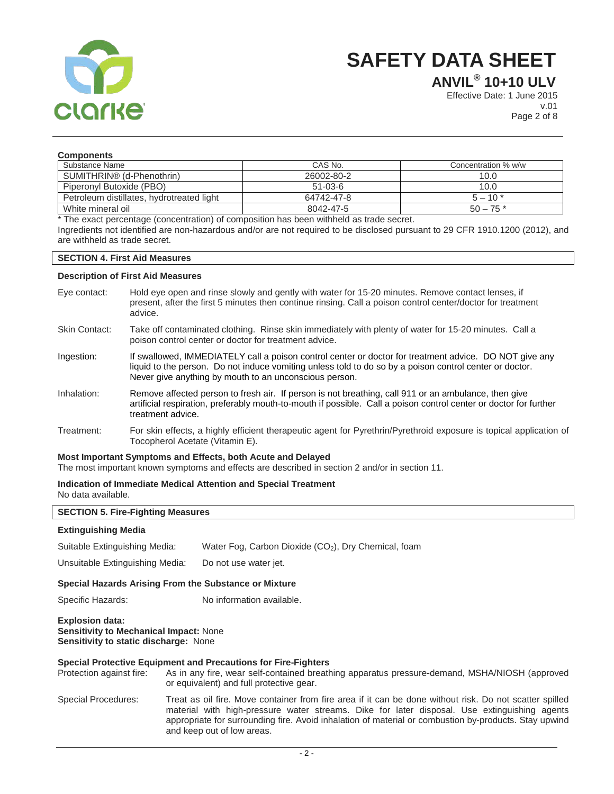

**ANVIL® 10+10 ULV**

Effective Date: 1 June 2015 v.01 Page 2 of 8

| <b>Components</b>                         |               |                     |
|-------------------------------------------|---------------|---------------------|
| Substance Name                            | CAS No.       | Concentration % w/w |
| SUMITHRIN <sup>®</sup> (d-Phenothrin)     | 26002-80-2    | 10.0                |
| Piperonyl Butoxide (PBO)                  | $51 - 03 - 6$ | 10.0                |
| Petroleum distillates, hydrotreated light | 64742-47-8    | $5 - 10*$           |
| White mineral oil                         | 8042-47-5     | $50 - 75$ *         |

\* The exact percentage (concentration) of composition has been withheld as trade secret. Ingredients not identified are non-hazardous and/or are not required to be disclosed pursuant to 29 CFR 1910.1200 (2012), and are withheld as trade secret.

#### **SECTION 4. First Aid Measures**

#### **Description of First Aid Measures**

Eye contact: Hold eye open and rinse slowly and gently with water for 15-20 minutes. Remove contact lenses, if present, after the first 5 minutes then continue rinsing. Call a poison control center/doctor for treatment advice. Skin Contact: Take off contaminated clothing. Rinse skin immediately with plenty of water for 15-20 minutes. Call a poison control center or doctor for treatment advice. Ingestion: If swallowed, IMMEDIATELY call a poison control center or doctor for treatment advice. DO NOT give any liquid to the person. Do not induce vomiting unless told to do so by a poison control center or doctor. Never give anything by mouth to an unconscious person. Inhalation: Remove affected person to fresh air. If person is not breathing, call 911 or an ambulance, then give artificial respiration, preferably mouth-to-mouth if possible. Call a poison control center or doctor for further treatment advice. Treatment: For skin effects, a highly efficient therapeutic agent for Pyrethrin/Pyrethroid exposure is topical application of Tocopherol Acetate (Vitamin E).

#### **Most Important Symptoms and Effects, both Acute and Delayed**

The most important known symptoms and effects are described in section 2 and/or in section 11.

### **Indication of Immediate Medical Attention and Special Treatment**

No data available.

| <b>SECTION 5. Fire-Fighting Measures</b>                                                                                |                                                                                                                                                                                                                                                                                                                                                |  |
|-------------------------------------------------------------------------------------------------------------------------|------------------------------------------------------------------------------------------------------------------------------------------------------------------------------------------------------------------------------------------------------------------------------------------------------------------------------------------------|--|
| <b>Extinguishing Media</b>                                                                                              |                                                                                                                                                                                                                                                                                                                                                |  |
| Suitable Extinguishing Media:                                                                                           | Water Fog, Carbon Dioxide (CO <sub>2</sub> ), Dry Chemical, foam                                                                                                                                                                                                                                                                               |  |
| Unsuitable Extinguishing Media:                                                                                         | Do not use water jet.                                                                                                                                                                                                                                                                                                                          |  |
| Special Hazards Arising From the Substance or Mixture                                                                   |                                                                                                                                                                                                                                                                                                                                                |  |
| Specific Hazards:                                                                                                       | No information available.                                                                                                                                                                                                                                                                                                                      |  |
| <b>Explosion data:</b><br><b>Sensitivity to Mechanical Impact: None</b><br><b>Sensitivity to static discharge: None</b> |                                                                                                                                                                                                                                                                                                                                                |  |
| Protection against fire:                                                                                                | Special Protective Equipment and Precautions for Fire-Fighters<br>As in any fire, wear self-contained breathing apparatus pressure-demand, MSHA/NIOSH (approved<br>or equivalent) and full protective gear.                                                                                                                                    |  |
| Special Procedures:                                                                                                     | Treat as oil fire. Move container from fire area if it can be done without risk. Do not scatter spilled<br>material with high-pressure water streams. Dike for later disposal. Use extinguishing agents<br>appropriate for surrounding fire. Avoid inhalation of material or combustion by-products. Stay upwind<br>and keep out of low areas. |  |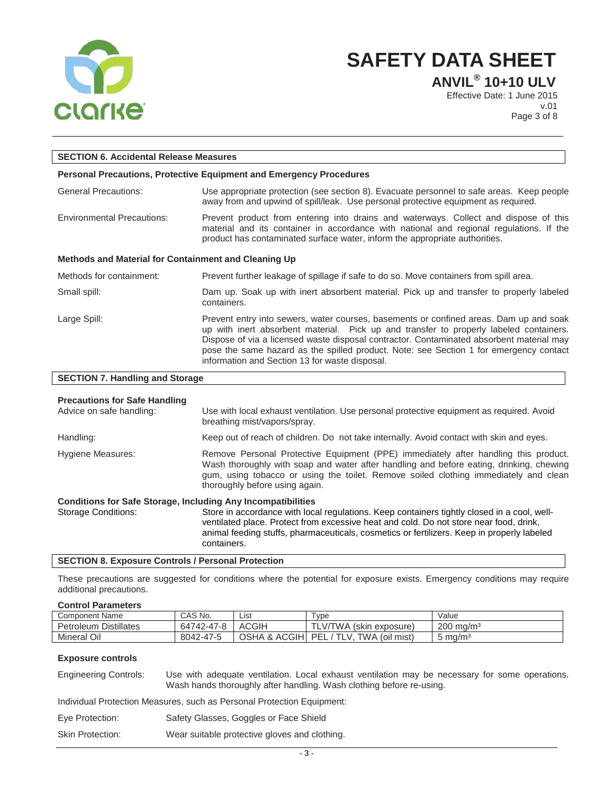

**ANVIL® 10+10 ULV**

Effective Date: 1 June 2015 v.01 Page 3 of 8

| <b>SECTION 6. Accidental Release Measures</b>        |                                                                                                                                                                                                                                                                                                                                                                                                                          |  |
|------------------------------------------------------|--------------------------------------------------------------------------------------------------------------------------------------------------------------------------------------------------------------------------------------------------------------------------------------------------------------------------------------------------------------------------------------------------------------------------|--|
|                                                      | <b>Personal Precautions, Protective Equipment and Emergency Procedures</b>                                                                                                                                                                                                                                                                                                                                               |  |
| <b>General Precautions:</b>                          | Use appropriate protection (see section 8). Evacuate personnel to safe areas. Keep people<br>away from and upwind of spill/leak. Use personal protective equipment as required.                                                                                                                                                                                                                                          |  |
| <b>Environmental Precautions:</b>                    | Prevent product from entering into drains and waterways. Collect and dispose of this<br>material and its container in accordance with national and regional regulations. If the<br>product has contaminated surface water, inform the appropriate authorities.                                                                                                                                                           |  |
| Methods and Material for Containment and Cleaning Up |                                                                                                                                                                                                                                                                                                                                                                                                                          |  |
| Methods for containment:                             | Prevent further leakage of spillage if safe to do so. Move containers from spill area.                                                                                                                                                                                                                                                                                                                                   |  |
| Small spill:                                         | Dam up. Soak up with inert absorbent material. Pick up and transfer to properly labeled<br>containers.                                                                                                                                                                                                                                                                                                                   |  |
| Large Spill:                                         | Prevent entry into sewers, water courses, basements or confined areas. Dam up and soak<br>up with inert absorbent material. Pick up and transfer to properly labeled containers.<br>Dispose of via a licensed waste disposal contractor. Contaminated absorbent material may<br>pose the same hazard as the spilled product. Note: see Section 1 for emergency contact<br>information and Section 13 for waste disposal. |  |
| <b>SECTION 7. Handling and Storage</b>               |                                                                                                                                                                                                                                                                                                                                                                                                                          |  |
| <b>Precautions for Safe Handling</b>                 |                                                                                                                                                                                                                                                                                                                                                                                                                          |  |

| <b>Precautions for Sale Handling</b><br>Advice on safe handling:    | Use with local exhaust ventilation. Use personal protective equipment as required. Avoid<br>breathing mist/vapors/spray.                                                                                                                                                                                 |
|---------------------------------------------------------------------|----------------------------------------------------------------------------------------------------------------------------------------------------------------------------------------------------------------------------------------------------------------------------------------------------------|
| Handling:                                                           | Keep out of reach of children. Do not take internally. Avoid contact with skin and eyes.                                                                                                                                                                                                                 |
| Hygiene Measures:                                                   | Remove Personal Protective Equipment (PPE) immediately after handling this product.<br>Wash thoroughly with soap and water after handling and before eating, drinking, chewing<br>gum, using tobacco or using the toilet. Remove soiled clothing immediately and clean<br>thoroughly before using again. |
| <b>Conditions for Safe Storage, Including Any Incompatibilities</b> |                                                                                                                                                                                                                                                                                                          |
| <b>Storage Conditions:</b>                                          | Store in accordance with local regulations. Keep containers tightly closed in a cool, well-<br>ventilated place. Protect from excessive heat and cold. Do not store near food, drink,<br>animal feeding stuffs, pharmaceuticals, cosmetics or fertilizers. Keep in properly labeled<br>containers.       |

#### **SECTION 8. Exposure Controls / Personal Protection**

These precautions are suggested for conditions where the potential for exposure exists. Emergency conditions may require additional precautions.

#### **Control Parameters**

| ---------------------           |            |               |                                       |                         |
|---------------------------------|------------|---------------|---------------------------------------|-------------------------|
| <b>Component Name</b>           | CAS No.    | List          | Type                                  | /alue                   |
| <b>Distillates</b><br>Petroleum | 64742-47-8 | ACGIH         | TLV/TWA (skin exposure)               | $200 \,\mathrm{mg/m^3}$ |
| Mineral Oil                     | 8042-47-5  | OSHA & ACGIHI | (oil mist)<br>РF<br>TWA,<br>TI V<br>┶ | $5 \text{ ma/m}^3$      |

#### **Exposure controls**

Engineering Controls: Use with adequate ventilation. Local exhaust ventilation may be necessary for some operations. Wash hands thoroughly after handling. Wash clothing before re-using.

Individual Protection Measures, such as Personal Protection Equipment:

Skin Protection: Wear suitable protective gloves and clothing.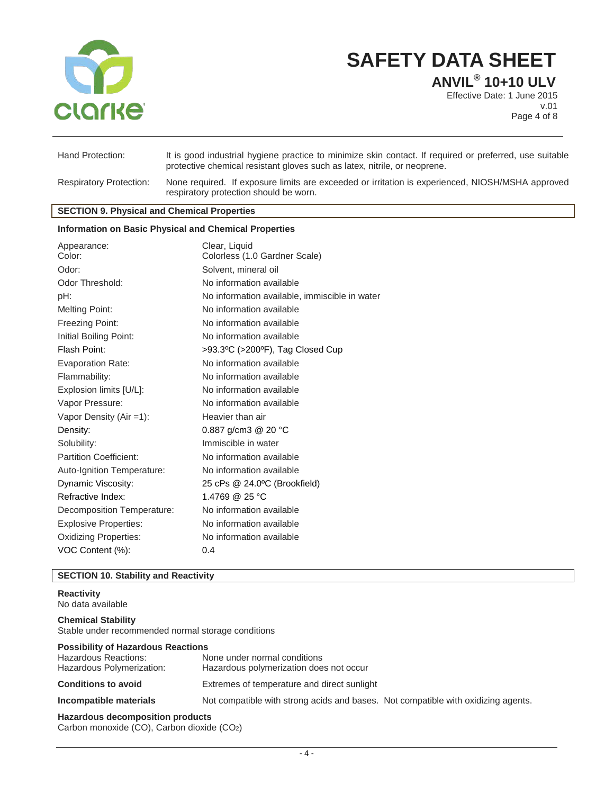

**ANVIL® 10+10 ULV**

Effective Date: 1 June 2015 v.01 Page 4 of 8

| Hand Protection:               | It is good industrial hygiene practice to minimize skin contact. If required or preferred, use suitable<br>protective chemical resistant gloves such as latex, nitrile, or neoprene. |
|--------------------------------|--------------------------------------------------------------------------------------------------------------------------------------------------------------------------------------|
| <b>Respiratory Protection:</b> | None required. If exposure limits are exceeded or irritation is experienced, NIOSH/MSHA approved<br>respiratory protection should be worn.                                           |

#### **SECTION 9. Physical and Chemical Properties**

#### **Information on Basic Physical and Chemical Properties**

| Appearance:                   | Clear, Liquid                                 |
|-------------------------------|-----------------------------------------------|
| Color:                        | Colorless (1.0 Gardner Scale)                 |
| Odor:                         | Solvent, mineral oil                          |
| Odor Threshold:               | No information available                      |
| pH:                           | No information available, immiscible in water |
| <b>Melting Point:</b>         | No information available                      |
| Freezing Point:               | No information available                      |
| Initial Boiling Point:        | No information available                      |
| Flash Point:                  | >93.3°C (>200°F), Tag Closed Cup              |
| <b>Evaporation Rate:</b>      | No information available                      |
| Flammability:                 | No information available                      |
| Explosion limits [U/L]:       | No information available                      |
| Vapor Pressure:               | No information available                      |
| Vapor Density (Air =1):       | Heavier than air                              |
| Density:                      | 0.887 $q/cm3$ @ 20 °C                         |
| Solubility:                   | Immiscible in water                           |
| <b>Partition Coefficient:</b> | No information available                      |
| Auto-Ignition Temperature:    | No information available                      |
| Dynamic Viscosity:            | 25 cPs @ 24.0°C (Brookfield)                  |
| Refractive Index:             | 1.4769 @ 25 °C                                |
| Decomposition Temperature:    | No information available                      |
| <b>Explosive Properties:</b>  | No information available                      |
| <b>Oxidizing Properties:</b>  | No information available                      |
| VOC Content (%):              | 0.4                                           |

#### **SECTION 10. Stability and Reactivity**

#### **Reactivity**

No data available

**Chemical Stability** Stable under recommended normal storage conditions

### **Possibility of Hazardous Reactions** Hazardous Reactions: None under normal conditions Hazardous polymerization does not occur **Conditions to avoid** Extremes of temperature and direct sunlight **Incompatible materials** Not compatible with strong acids and bases. Not compatible with oxidizing agents.

### **Hazardous decomposition products**

Carbon monoxide (CO), Carbon dioxide (CO2)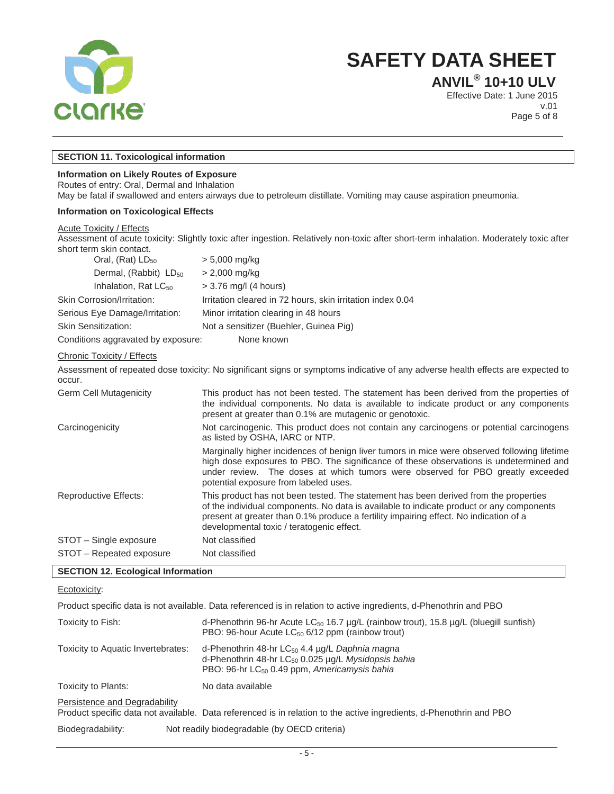

**ANVIL® 10+10 ULV**

Effective Date: 1 June 2015 v.01 Page 5 of 8

#### **SECTION 11. Toxicological information**

#### **Information on Likely Routes of Exposure**

Routes of entry: Oral, Dermal and Inhalation

May be fatal if swallowed and enters airways due to petroleum distillate. Vomiting may cause aspiration pneumonia.

#### **Information on Toxicological Effects**

#### Acute Toxicity / Effects

Assessment of acute toxicity: Slightly toxic after ingestion. Relatively non-toxic after short-term inhalation. Moderately toxic after short term skin contact. Oral,  $(Rat)$  LD<sub>50</sub>  $>$  5,000 mg/kg Dermal, (Rabbit)  $LD_{50}$  > 2,000 mg/kg Inhalation, Rat  $LC_{50}$   $> 3.76$  mg/l (4 hours) Skin Corrosion/Irritation: Irritation cleared in 72 hours, skin irritation index 0.04 Serious Eye Damage/Irritation: Minor irritation clearing in 48 hours Skin Sensitization: Not a sensitizer (Buehler, Guinea Pig) Conditions aggravated by exposure: None known Chronic Toxicity / Effects Assessment of repeated dose toxicity: No significant signs or symptoms indicative of any adverse health effects are expected to occur. Germ Cell Mutagenicity This product has not been tested. The statement has been derived from the properties of the individual components. No data is available to indicate product or any components present at greater than 0.1% are mutagenic or genotoxic. Carcinogenicity Not carcinogenic. This product does not contain any carcinogens or potential carcinogens as listed by OSHA, IARC or NTP. Marginally higher incidences of benign liver tumors in mice were observed following lifetime high dose exposures to PBO. The significance of these observations is undetermined and under review. The doses at which tumors were observed for PBO greatly exceeded potential exposure from labeled uses. Reproductive Effects: This product has not been tested. The statement has been derived from the properties of the individual components. No data is available to indicate product or any components present at greater than 0.1% produce a fertility impairing effect. No indication of a developmental toxic / teratogenic effect. STOT – Single exposure Not classified STOT – Repeated exposure Not classified

#### **SECTION 12. Ecological Information**

Ecotoxicity:

Product specific data is not available. Data referenced is in relation to active ingredients, d-Phenothrin and PBO

| Toxicity to Fish:                  | d-Phenothrin 96-hr Acute LC <sub>50</sub> 16.7 µg/L (rainbow trout), 15.8 µg/L (bluegill sunfish)<br>PBO: 96-hour Acute $LC_{50}$ 6/12 ppm (rainbow trout)                              |
|------------------------------------|-----------------------------------------------------------------------------------------------------------------------------------------------------------------------------------------|
| Toxicity to Aquatic Invertebrates: | d-Phenothrin 48-hr $LC_{50}$ 4.4 $\mu$ g/L Daphnia magna<br>d-Phenothrin 48-hr LC <sub>50</sub> 0.025 µg/L Mysidopsis bahia<br>PBO: 96-hr LC <sub>50</sub> 0.49 ppm, Americamysis bahia |
| Toxicity to Plants:                | No data available                                                                                                                                                                       |
| Persistence and Degradability      | Product specific data not available. Data referenced is in relation to the active ingredients, d-Phenothrin and PBO                                                                     |
| Diodogradobility                   | Not roadily biadegradable $\left( \mathsf{b} \right)$ $\left( \mathsf{D} \right)$ aritaria)                                                                                             |

Biodegradability: Not readily biodegradable (by OECD criteria)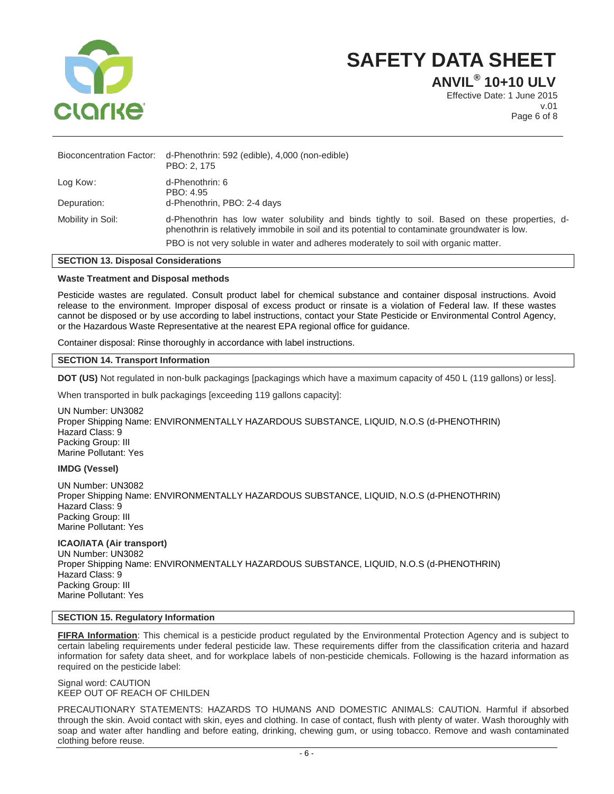

**ANVIL® 10+10 ULV**

Effective Date: 1 June 2015 v.01 Page 6 of 8

|                   | Bioconcentration Factor: d-Phenothrin: 592 (edible), 4,000 (non-edible)<br>PBO: 2, 175                                                                                                                                                                                                   |
|-------------------|------------------------------------------------------------------------------------------------------------------------------------------------------------------------------------------------------------------------------------------------------------------------------------------|
| Log Kow:          | d-Phenothrin: 6<br>PBO: 4.95                                                                                                                                                                                                                                                             |
| Depuration:       | d-Phenothrin, PBO: 2-4 days                                                                                                                                                                                                                                                              |
| Mobility in Soil: | d-Phenothrin has low water solubility and binds tightly to soil. Based on these properties, d-<br>phenothrin is relatively immobile in soil and its potential to contaminate groundwater is low.<br>PBO is not very soluble in water and adheres moderately to soil with organic matter. |
|                   |                                                                                                                                                                                                                                                                                          |

### **SECTION 13. Disposal Considerations**

#### **Waste Treatment and Disposal methods**

Pesticide wastes are regulated. Consult product label for chemical substance and container disposal instructions. Avoid release to the environment. Improper disposal of excess product or rinsate is a violation of Federal law. If these wastes cannot be disposed or by use according to label instructions, contact your State Pesticide or Environmental Control Agency, or the Hazardous Waste Representative at the nearest EPA regional office for guidance.

Container disposal: Rinse thoroughly in accordance with label instructions.

#### **SECTION 14. Transport Information**

**DOT (US)** Not regulated in non-bulk packagings [packagings which have a maximum capacity of 450 L (119 gallons) or less].

When transported in bulk packagings [exceeding 119 gallons capacity]:

UN Number: UN3082 Proper Shipping Name: ENVIRONMENTALLY HAZARDOUS SUBSTANCE, LIQUID, N.O.S (d-PHENOTHRIN) Hazard Class: 9 Packing Group: III Marine Pollutant: Yes

#### **IMDG (Vessel)**

UN Number: UN3082 Proper Shipping Name: ENVIRONMENTALLY HAZARDOUS SUBSTANCE, LIQUID, N.O.S (d-PHENOTHRIN) Hazard Class: 9 Packing Group: III Marine Pollutant: Yes

**ICAO/IATA (Air transport)** UN Number: UN3082 Proper Shipping Name: ENVIRONMENTALLY HAZARDOUS SUBSTANCE, LIQUID, N.O.S (d-PHENOTHRIN) Hazard Class: 9 Packing Group: III Marine Pollutant: Yes

#### **SECTION 15. Regulatory Information**

**FIFRA Information**: This chemical is a pesticide product regulated by the Environmental Protection Agency and is subject to certain labeling requirements under federal pesticide law. These requirements differ from the classification criteria and hazard information for safety data sheet, and for workplace labels of non-pesticide chemicals. Following is the hazard information as required on the pesticide label:

Signal word: CAUTION KEEP OUT OF REACH OF CHILDEN

PRECAUTIONARY STATEMENTS: HAZARDS TO HUMANS AND DOMESTIC ANIMALS: CAUTION. Harmful if absorbed through the skin. Avoid contact with skin, eyes and clothing. In case of contact, flush with plenty of water. Wash thoroughly with soap and water after handling and before eating, drinking, chewing gum, or using tobacco. Remove and wash contaminated clothing before reuse.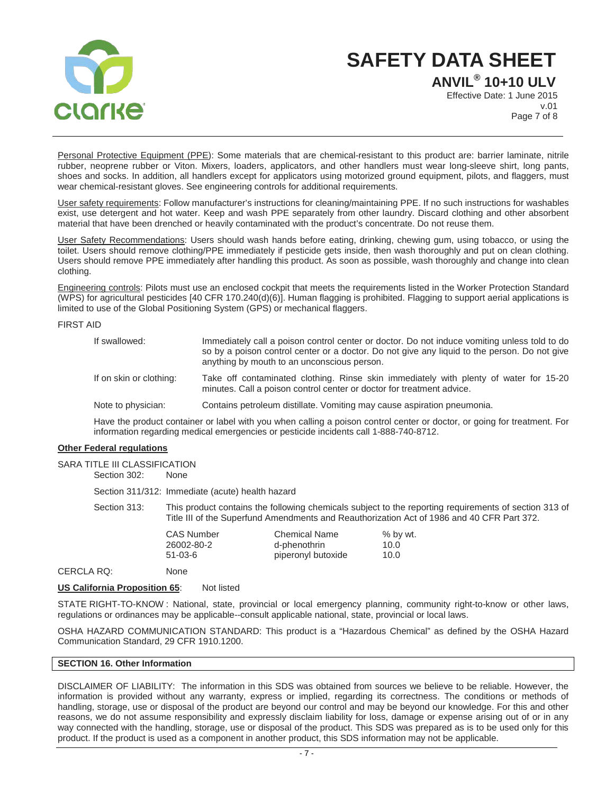

**ANVIL® 10+10 ULV** Effective Date: 1 June 2015 v.01 Page 7 of 8

Personal Protective Equipment (PPE): Some materials that are chemical-resistant to this product are: barrier laminate, nitrile rubber, neoprene rubber or Viton. Mixers, loaders, applicators, and other handlers must wear long-sleeve shirt, long pants, shoes and socks. In addition, all handlers except for applicators using motorized ground equipment, pilots, and flaggers, must wear chemical-resistant gloves. See engineering controls for additional requirements.

User safety requirements: Follow manufacturer's instructions for cleaning/maintaining PPE. If no such instructions for washables exist, use detergent and hot water. Keep and wash PPE separately from other laundry. Discard clothing and other absorbent material that have been drenched or heavily contaminated with the product's concentrate. Do not reuse them.

User Safety Recommendations: Users should wash hands before eating, drinking, chewing gum, using tobacco, or using the toilet. Users should remove clothing/PPE immediately if pesticide gets inside, then wash thoroughly and put on clean clothing. Users should remove PPE immediately after handling this product. As soon as possible, wash thoroughly and change into clean clothing.

Engineering controls: Pilots must use an enclosed cockpit that meets the requirements listed in the Worker Protection Standard (WPS) for agricultural pesticides [40 CFR 170.240(d)(6)]. Human flagging is prohibited. Flagging to support aerial applications is limited to use of the Global Positioning System (GPS) or mechanical flaggers.

FIRST AID

| If swallowed:           | Immediately call a poison control center or doctor. Do not induce vomiting unless told to do<br>so by a poison control center or a doctor. Do not give any liquid to the person. Do not give<br>anything by mouth to an unconscious person. |
|-------------------------|---------------------------------------------------------------------------------------------------------------------------------------------------------------------------------------------------------------------------------------------|
| If on skin or clothing: | Take off contaminated clothing. Rinse skin immediately with plenty of water for 15-20<br>minutes. Call a poison control center or doctor for treatment advice.                                                                              |
| Note to physician:      | Contains petroleum distillate. Vomiting may cause aspiration pneumonia.                                                                                                                                                                     |

Have the product container or label with you when calling a poison control center or doctor, or going for treatment. For information regarding medical emergencies or pesticide incidents call 1-888-740-8712.

#### **Other Federal regulations**

SARA TITLE III CLASSIFICATION Section 302: None

Section 311/312: Immediate (acute) health hazard

Section 313: This product contains the following chemicals subject to the reporting requirements of section 313 of Title III of the Superfund Amendments and Reauthorization Act of 1986 and 40 CFR Part 372.

| <b>CAS Number</b> | <b>Chemical Name</b> | $%$ by wt. |
|-------------------|----------------------|------------|
| 26002-80-2        | d-phenothrin         | 10.0       |
| 51-03-6           | piperonyl butoxide   | 10.0       |
|                   |                      |            |

CERCLA RQ: None

#### **US California Proposition 65:** Not listed

STATE RIGHT-TO-KNOW : National, state, provincial or local emergency planning, community right-to-know or other laws, regulations or ordinances may be applicable--consult applicable national, state, provincial or local laws.

OSHA HAZARD COMMUNICATION STANDARD: This product is a "Hazardous Chemical" as defined by the OSHA Hazard Communication Standard, 29 CFR 1910.1200.

#### **SECTION 16. Other Information**

DISCLAIMER OF LIABILITY: The information in this SDS was obtained from sources we believe to be reliable. However, the information is provided without any warranty, express or implied, regarding its correctness. The conditions or methods of handling, storage, use or disposal of the product are beyond our control and may be beyond our knowledge. For this and other reasons, we do not assume responsibility and expressly disclaim liability for loss, damage or expense arising out of or in any way connected with the handling, storage, use or disposal of the product. This SDS was prepared as is to be used only for this product. If the product is used as a component in another product, this SDS information may not be applicable.